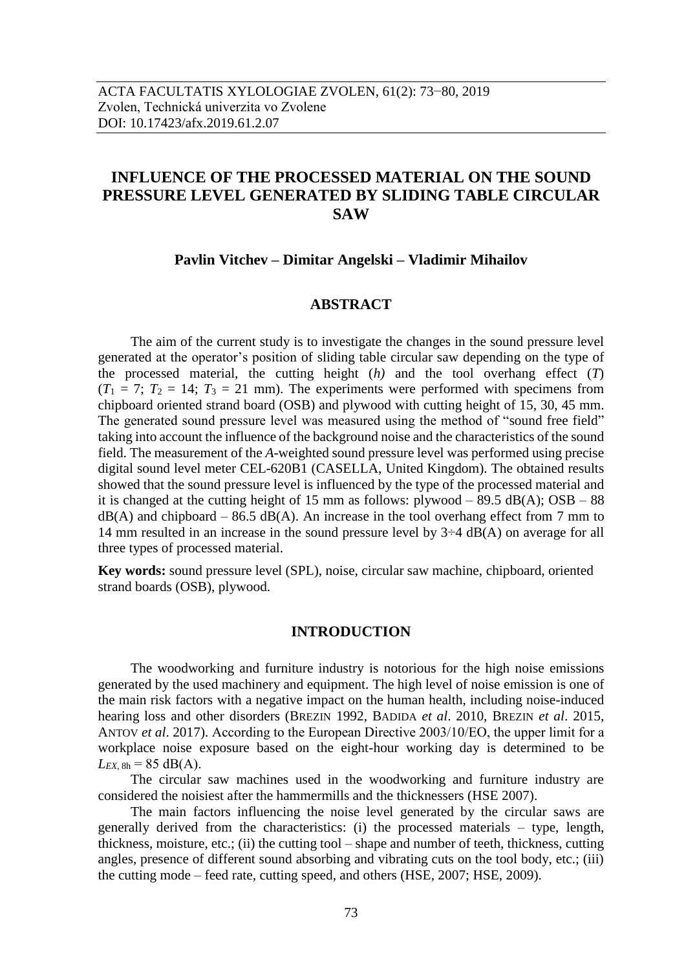# **INFLUENCE OF THE PROCESSED MATERIAL ON THE SOUND PRESSURE LEVEL GENERATED BY SLIDING TABLE CIRCULAR SAW**

## **Pavlin Vitchev – Dimitar Angelski – Vladimir Mihailov**

# **ABSTRACT**

The aim of the current study is to investigate the changes in the sound pressure level generated at the operator's position of sliding table circular saw depending on the type of the processed material, the cutting height (*h)* and the tool overhang effect (*T*)  $(T_1 = 7; T_2 = 14; T_3 = 21$  mm). The experiments were performed with specimens from chipboard oriented strand board (OSB) and plywood with cutting height of 15, 30, 45 mm. The generated sound pressure level was measured using the method of "sound free field" taking into account the influence of the background noise and the characteristics of the sound field. The measurement of the *A*-weighted sound pressure level was performed using precise digital sound level meter CEL-620B1 (CASELLA, United Kingdom). The obtained results showed that the sound pressure level is influenced by the type of the processed material and it is changed at the cutting height of 15 mm as follows: plywood – 89.5 dB(A);  $\text{OSB} - 88$  $dB(A)$  and chipboard – 86.5 dB(A). An increase in the tool overhang effect from 7 mm to 14 mm resulted in an increase in the sound pressure level by  $3\div 4$  dB(A) on average for all three types of processed material.

**Key words:** sound pressure level (SPL), noise, circular saw machine, chipboard, oriented strand boards (OSB), plywood.

#### **INTRODUCTION**

The woodworking and furniture industry is notorious for the high noise emissions generated by the used machinery and equipment. The high level of noise emission is one of the main risk factors with a negative impact on the human health, including noise-induced hearing loss and other disorders (BREZIN 1992, BADIDA *et al*. 2010, BREZIN *et al*. 2015, ANTOV *et al*. 2017). According to the European Directive 2003/10/ЕО, the upper limit for a workplace noise exposure based on the eight-hour working day is determined to be  $L_{EX, 8h} = 85 \text{ dB}(A)$ .

The circular saw machines used in the woodworking and furniture industry are considered the noisiest after the hammermills and the thicknessers (HSE 2007).

The main factors influencing the noise level generated by the circular saws are generally derived from the characteristics: (i) the processed materials – type, length, thickness, moisture, etc.; (ii) the cutting tool – shape and number of teeth, thickness, cutting angles, presence of different sound absorbing and vibrating cuts on the tool body, etc.; (iii) the cutting mode – feed rate, cutting speed, and others (HSE, 2007; HSE, 2009).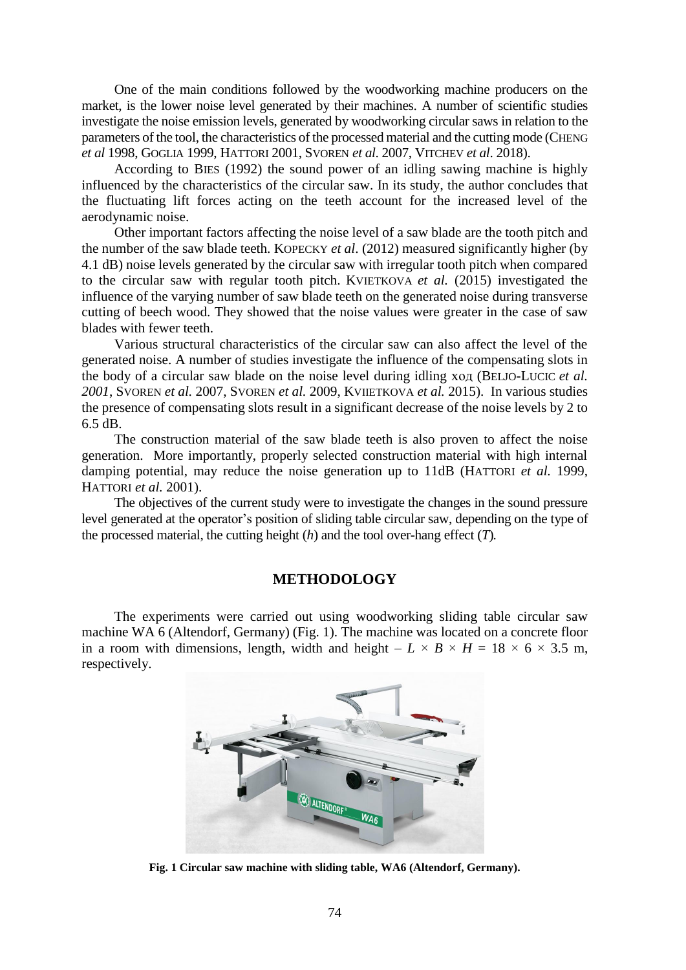One of the main conditions followed by the woodworking machine producers on the market, is the lower noise level generated by their machines. A number of scientific studies investigate the noise emission levels, generated by woodworking circular saws in relation to the parameters of the tool, the characteristics of the processed material and the cutting mode (CHENG *et al* 1998, GOGLIA 1999, HATTORI 2001, SVOREN *et al*. 2007, VITCHEV *et al*. 2018).

According to BIES (1992) the sound power of an idling sawing machine is highly influenced by the characteristics of the circular saw. In its study, the author concludes that the fluctuating lift forces acting on the teeth account for the increased level of the aerodynamic noise.

Other important factors affecting the noise level of a saw blade are the tooth pitch and the number of the saw blade teeth. KOPECKY *et al*. (2012) measured significantly higher (by 4.1 dB) noise levels generated by the circular saw with irregular tooth pitch when compared to the circular saw with regular tooth pitch. KVIETKOVA *et al.* (2015) investigated the influence of the varying number of saw blade teeth on the generated noise during transverse cutting of beech wood. They showed that the noise values were greater in the case of saw blades with fewer teeth.

Various structural characteristics of the circular saw can also affect the level of the generated noise. A number of studies investigate the influence of the compensating slots in the body of a circular saw blade on the noise level during idling ход (BELJO-LUCIC *et al. 2001*, SVOREN *et al.* 2007, SVOREN *et al.* 2009, KVIIETKOVA *et al.* 2015). In various studies the presence of compensating slots result in a significant decrease of the noise levels by 2 to 6.5 dB.

The construction material of the saw blade teeth is also proven to affect the noise generation. More importantly, properly selected construction material with high internal damping potential, may reduce the noise generation up to 11dB (HATTORI *et al.* 1999, HATTORI *et al.* 2001).

The objectives of the current study were to investigate the changes in the sound pressure level generated at the operator's position of sliding table circular saw, depending on the type of the processed material, the cutting height (*h*) and the tool over-hang effect (*T*)*.* 

# **METHODOLOGY**

The experiments were carried out using woodworking sliding table circular saw machine WA 6 (Altendorf, Germany) (Fig. 1). The machine was located on a concrete floor in a room with dimensions, length, width and height –  $L \times B \times H = 18 \times 6 \times 3.5$  m, respectively.



**Fig. 1 Circular saw machine with sliding table, WA6 (Altendorf, Germany).**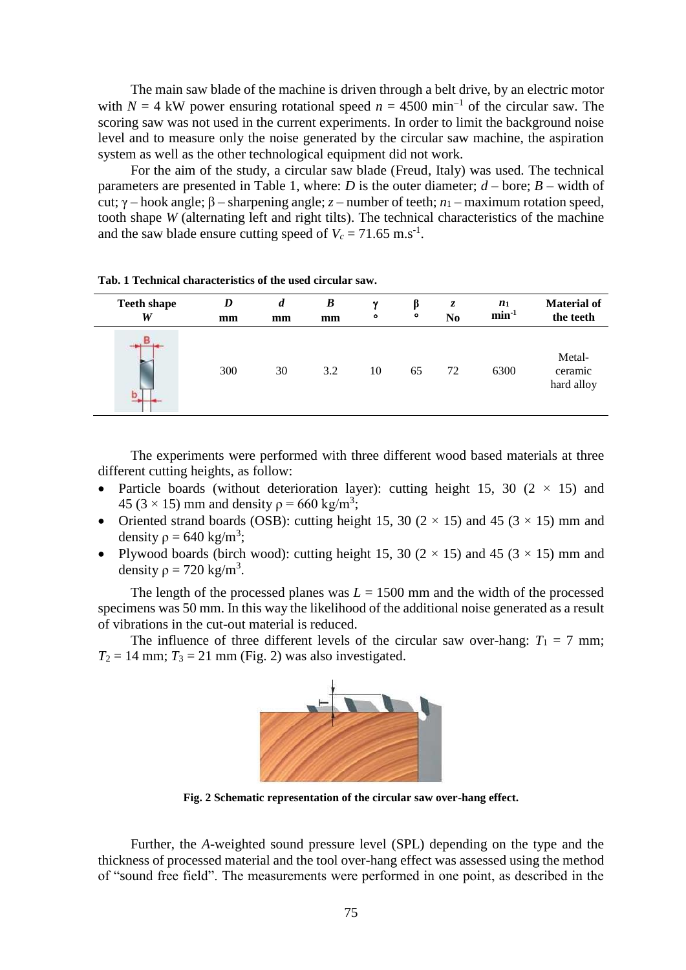The main saw blade of the machine is driven through a belt drive, by an electric motor with  $N = 4$  kW power ensuring rotational speed  $n = 4500$  min<sup>-1</sup> of the circular saw. The scoring saw was not used in the current experiments. In order to limit the background noise level and to measure only the noise generated by the circular saw machine, the aspiration system as well as the other technological equipment did not work.

For the aim of the study, a circular saw blade (Freud, Italy) was used. The technical parameters are presented in Table 1, where: *D* is the outer diameter;  $d$  – bore;  $B$  – width of cut; γ – hook angle; β – sharpening angle; *z* – number of teeth; *n*<sub>1</sub> – maximum rotation speed, tooth shape *W* (alternating left and right tilts). The technical characteristics of the machine and the saw blade ensure cutting speed of  $V_c = 71.65$  m.s<sup>-1</sup>.

| <b>Teeth shape</b> | D   | d  | $\boldsymbol{B}$ | $\mathbf v$ | ß  | z              | $n_1$   | <b>Material of</b>              |
|--------------------|-----|----|------------------|-------------|----|----------------|---------|---------------------------------|
| W                  | mm  | mm | mm               | $\bullet$   | ۰  | N <sub>0</sub> | $min-1$ | the teeth                       |
|                    | 300 | 30 | 3.2              | 10          | 65 | 72             | 6300    | Metal-<br>ceramic<br>hard alloy |

**Tab. 1 Technical characteristics of the used circular saw.**

The experiments were performed with three different wood based materials at three different cutting heights, as follow:

- Particle boards (without deterioration layer): cutting height 15, 30 ( $2 \times 15$ ) and 45 (3  $\times$  15) mm and density  $\rho$  = 660 kg/m<sup>3</sup>;
- Oriented strand boards (OSB): cutting height 15, 30 ( $2 \times 15$ ) and 45 ( $3 \times 15$ ) mm and density  $\rho = 640 \text{ kg/m}^3$ ;
- Plywood boards (birch wood): cutting height 15, 30 ( $2 \times 15$ ) and 45 ( $3 \times 15$ ) mm and density  $\rho = 720 \text{ kg/m}^3$ .

The length of the processed planes was  $L = 1500$  mm and the width of the processed specimens was 50 mm. In this way the likelihood of the additional noise generated as a result of vibrations in the cut-out material is reduced.

The influence of three different levels of the circular saw over-hang:  $T_1 = 7$  mm;  $T_2 = 14$  mm;  $T_3 = 21$  mm (Fig. 2) was also investigated.



**Fig. 2 Schematic representation of the circular saw over-hang effect.**

Further, the *A*-weighted sound pressure level (SPL) depending on the type and the thickness of processed material and the tool over-hang effect was assessed using the method of "sound free field". The measurements were performed in one point, as described in the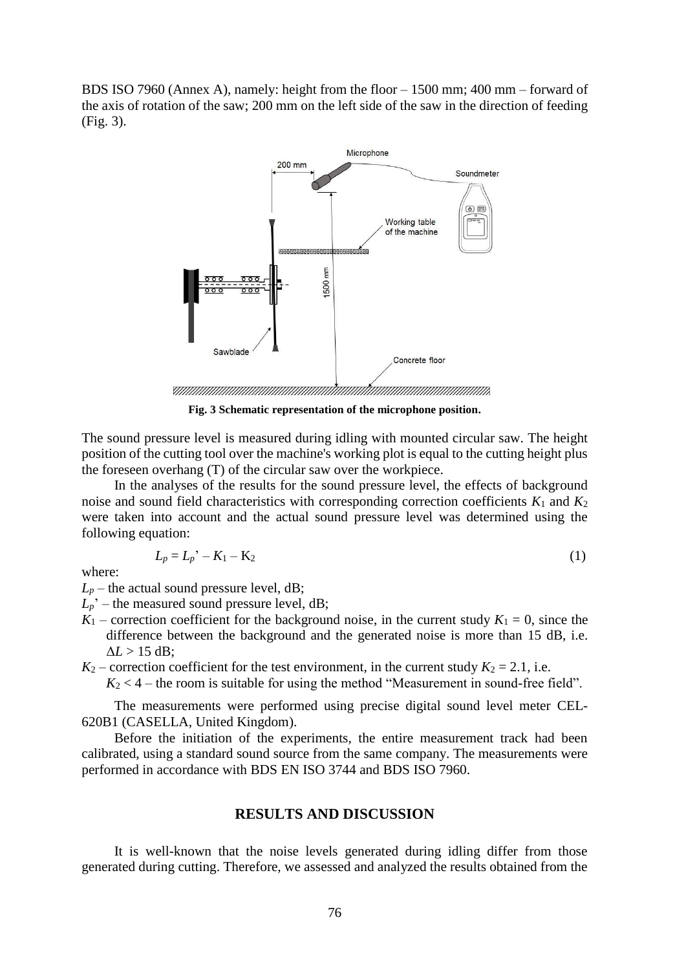BDS ISO 7960 (Annex A), namely: height from the floor – 1500 mm; 400 mm – forward of the axis of rotation of the saw; 200 mm on the left side of the saw in the direction of feeding (Fig. 3).



**Fig. 3 Schematic representation of the microphone position.**

The sound pressure level is measured during idling with mounted circular saw. The height position of the cutting tool over the machine's working plot is equal to the cutting height plus the foreseen overhang (T) of the circular saw over the workpiece.

In the analyses of the results for the sound pressure level, the effects of background noise and sound field characteristics with corresponding correction coefficients *K*<sup>1</sup> and *K*<sup>2</sup> were taken into account and the actual sound pressure level was determined using the following equation:

$$
L_p = L_p' - K_1 - K_2 \tag{1}
$$

where:

 $L_p$  – the actual sound pressure level, dB;

- $L_p$ <sup> $\cdot$ </sup> the measured sound pressure level, dB;
- $K_1$  correction coefficient for the background noise, in the current study  $K_1 = 0$ , since the difference between the background and the generated noise is more than 15 dB, i.e.  $\Delta L > 15$  dB:

 $K_2$  – correction coefficient for the test environment, in the current study  $K_2 = 2.1$ , i.e.

 $K_2$  < 4 – the room is suitable for using the method "Measurement in sound-free field".

The measurements were performed using precise digital sound level meter CEL-620B1 (CASELLA, United Kingdom).

Before the initiation of the experiments, the entire measurement track had been calibrated, using a standard sound source from the same company. The measurements were performed in accordance with BDS EN ISO 3744 and BDS ISO 7960.

## **RESULTS AND DISCUSSION**

It is well-known that the noise levels generated during idling differ from those generated during cutting. Therefore, we assessed and analyzed the results obtained from the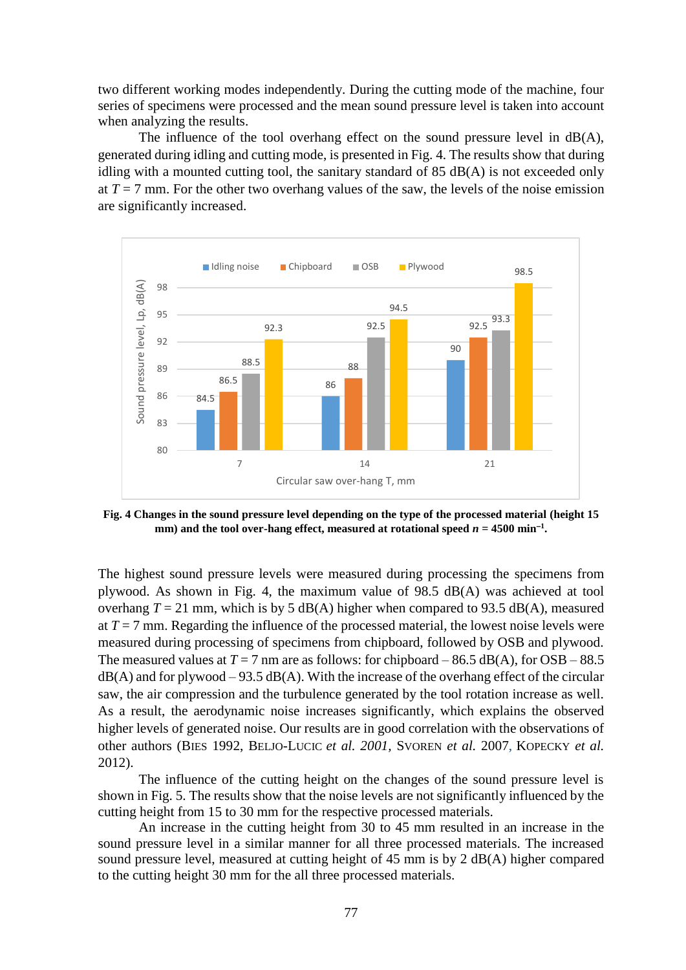two different working modes independently. During the cutting mode of the machine, four series of specimens were processed and the mean sound pressure level is taken into account when analyzing the results.

The influence of the tool overhang effect on the sound pressure level in  $dB(A)$ , generated during idling and cutting mode, is presented in Fig. 4. The results show that during idling with a mounted cutting tool, the sanitary standard of 85 dB(A) is not exceeded only at  $T = 7$  mm. For the other two overhang values of the saw, the levels of the noise emission are significantly increased.



**Fig. 4 Changes in the sound pressure level depending on the type of the processed material (height 15**  mm) and the tool over-hang effect, measured at rotational speed  $n = 4500$  min<sup>-1</sup>.

The highest sound pressure levels were measured during processing the specimens from plywood. As shown in Fig. 4, the maximum value of 98.5 dB(A) was achieved at tool overhang  $T = 21$  mm, which is by 5 dB(A) higher when compared to 93.5 dB(A), measured at  $T = 7$  mm. Regarding the influence of the processed material, the lowest noise levels were measured during processing of specimens from chipboard, followed by OSB and plywood. The measured values at  $T = 7$  nm are as follows: for chipboard – 86.5 dB(A), for OSB – 88.5  $dB(A)$  and for plywood – 93.5 dB(A). With the increase of the overhang effect of the circular saw, the air compression and the turbulence generated by the tool rotation increase as well. As a result, the aerodynamic noise increases significantly, which explains the observed higher levels of generated noise. Our results are in good correlation with the observations of other authors (BIES 1992, BELJO-LUCIC *et al. 2001,* SVOREN *et al.* 2007, KOPECKY *et al.* 2012).

The influence of the cutting height on the changes of the sound pressure level is shown in Fig. 5. The results show that the noise levels are not significantly influenced by the cutting height from 15 to 30 mm for the respective processed materials.

An increase in the cutting height from 30 to 45 mm resulted in an increase in the sound pressure level in a similar manner for all three processed materials. The increased sound pressure level, measured at cutting height of 45 mm is by 2 dB(A) higher compared to the cutting height 30 mm for the all three processed materials.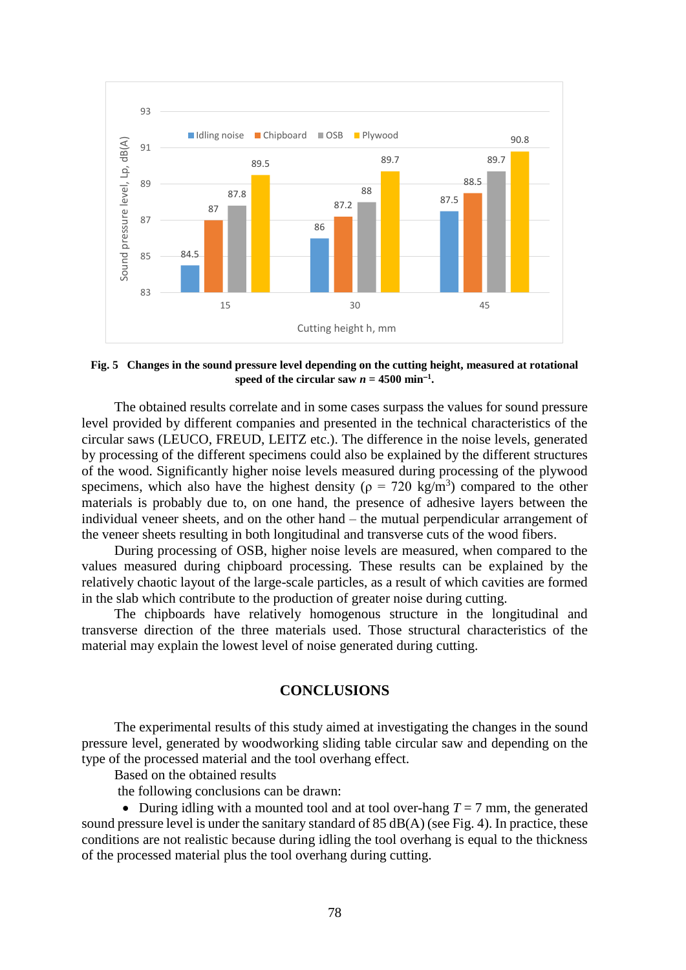

**Fig. 5 Changes in the sound pressure level depending on the cutting height, measured at rotational**  speed of the circular saw  $n = 4500$  min<sup>-1</sup>.

The obtained results correlate and in some cases surpass the values for sound pressure level provided by different companies and presented in the technical characteristics of the circular saws (LEUCO, FREUD, LEITZ etc.). The difference in the noise levels, generated by processing of the different specimens could also be explained by the different structures of the wood. Significantly higher noise levels measured during processing of the plywood specimens, which also have the highest density ( $\rho = 720 \text{ kg/m}^3$ ) compared to the other materials is probably due to, on one hand, the presence of adhesive layers between the individual veneer sheets, and on the other hand – the mutual perpendicular arrangement of the veneer sheets resulting in both longitudinal and transverse cuts of the wood fibers.

During processing of OSB, higher noise levels are measured, when compared to the values measured during chipboard processing. These results can be explained by the relatively chaotic layout of the large-scale particles, as a result of which cavities are formed in the slab which contribute to the production of greater noise during cutting.

The chipboards have relatively homogenous structure in the longitudinal and transverse direction of the three materials used. Those structural characteristics of the material may explain the lowest level of noise generated during cutting.

## **CONCLUSIONS**

The experimental results of this study aimed at investigating the changes in the sound pressure level, generated by woodworking sliding table circular saw and depending on the type of the processed material and the tool overhang effect.

Based on the obtained results

the following conclusions can be drawn:

• During idling with a mounted tool and at tool over-hang  $T = 7$  mm, the generated sound pressure level is under the sanitary standard of 85 dB(A) (see Fig. 4). In practice, these conditions are not realistic because during idling the tool overhang is equal to the thickness of the processed material plus the tool overhang during cutting.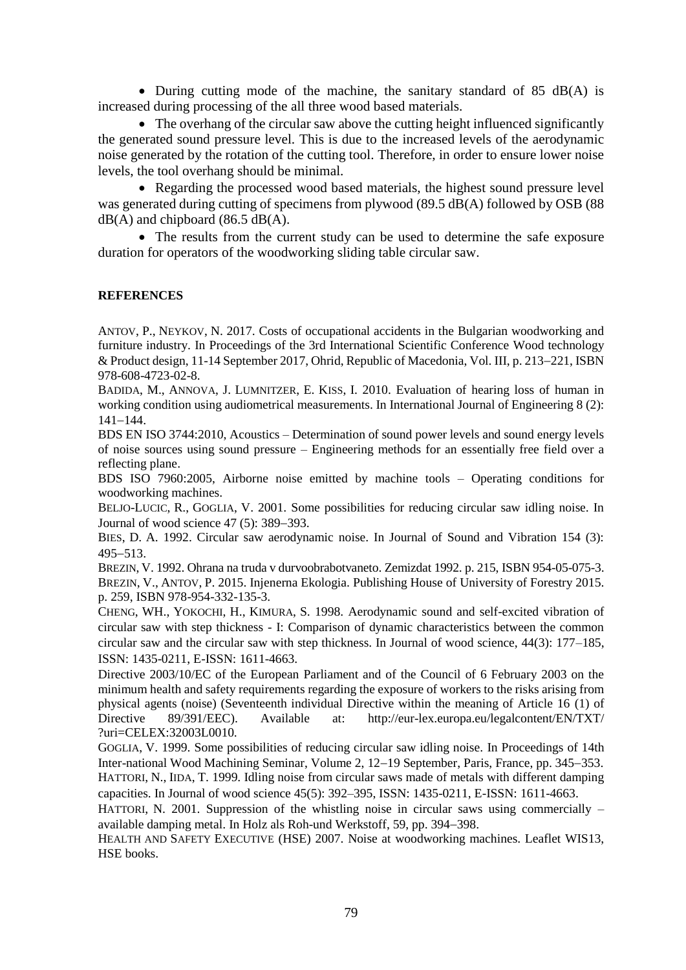• During cutting mode of the machine, the sanitary standard of 85 dB(A) is increased during processing of the all three wood based materials.

• The overhang of the circular saw above the cutting height influenced significantly the generated sound pressure level. This is due to the increased levels of the aerodynamic noise generated by the rotation of the cutting tool. Therefore, in order to ensure lower noise levels, the tool overhang should be minimal.

• Regarding the processed wood based materials, the highest sound pressure level was generated during cutting of specimens from plywood (89.5 dB(A) followed by OSB (88  $dB(A)$  and chipboard (86.5 dB(A).

• The results from the current study can be used to determine the safe exposure duration for operators of the woodworking sliding table circular saw.

# **REFERENCES**

ANTOV, P., NEYKOV, N. 2017. Costs of occupational accidents in the Bulgarian woodworking and furniture industry. In Proceedings of the 3rd International Scientific Conference Wood technology & Product design, 11-14 September 2017, Ohrid, Republic of Macedonia, Vol. III, p. 213–221, ISBN 978-608-4723-02-8.

BADIDA, M., ANNOVA, J. LUMNITZER, E. KISS, I. 2010. Evaluation of hearing loss of human in working condition using audiometrical measurements. In International Journal of Engineering 8 (2):  $141 - 144$ .

BDS EN ISO 3744:2010, Acoustics – Determination of sound power levels and sound energy levels of noise sources using sound pressure – Engineering methods for an essentially free field over a reflecting plane.

BDS ISO 7960:2005, Airborne noise emitted by machine tools – Operating conditions for woodworking machines.

BELJO-LUCIC, R., GOGLIA, V. 2001. Some possibilities for reducing circular saw idling noise. In Journal of wood science  $47$  (5): 389-393.

BIES, D. A. 1992. Circular saw aerodynamic noise. In Journal of Sound and Vibration 154 (3):  $495 - 513$ .

BREZIN, V. 1992. Ohrana na truda v durvoobrabotvaneto. Zemizdat 1992. p. 215, ISBN 954-05-075-3. BREZIN, V., ANTOV, P. 2015. Injenerna Ekologia. Publishing House of University of Forestry 2015. p. 259, ISBN 978-954-332-135-3.

CHENG, WH., YOKOCHI, H., KIMURA, S. 1998. Aerodynamic sound and self-excited vibration of circular saw with step thickness - I: Comparison of dynamic characteristics between the common circular saw and the circular saw with step thickness. In Journal of wood science, 44(3): 177–185, ISSN: 1435-0211, E-ISSN: 1611-4663.

Directive 2003/10/EC of the European Parliament and of the Council of 6 February 2003 on the minimum health and safety requirements regarding the exposure of workers to the risks arising from physical agents (noise) (Seventeenth individual Directive within the meaning of Article 16 (1) of Directive 89/391/EEC). Available at: http://eur-lex.europa.eu/legalcontent/EN/TXT/ ?uri=CELEX:32003L0010.

GOGLIA, V. 1999. Some possibilities of reducing circular saw idling noise. In Proceedings of 14th Inter-national Wood Machining Seminar, Volume 2, 12–19 September, Paris, France, pp. 345–353. HATTORI, N., IIDA, T. 1999. Idling noise from circular saws made of metals with different damping capacities. In Journal of wood science 45(5): 392–395, ISSN: 1435-0211, E-ISSN: 1611-4663.

HATTORI, N. 2001. Suppression of the whistling noise in circular saws using commercially  $$ available damping metal. In Holz als Roh-und Werkstoff, 59, pp. 394–398.

HEALTH AND SAFETY EXECUTIVE (HSE) 2007. Noise at woodworking machines. Leaflet WIS13, HSE books.